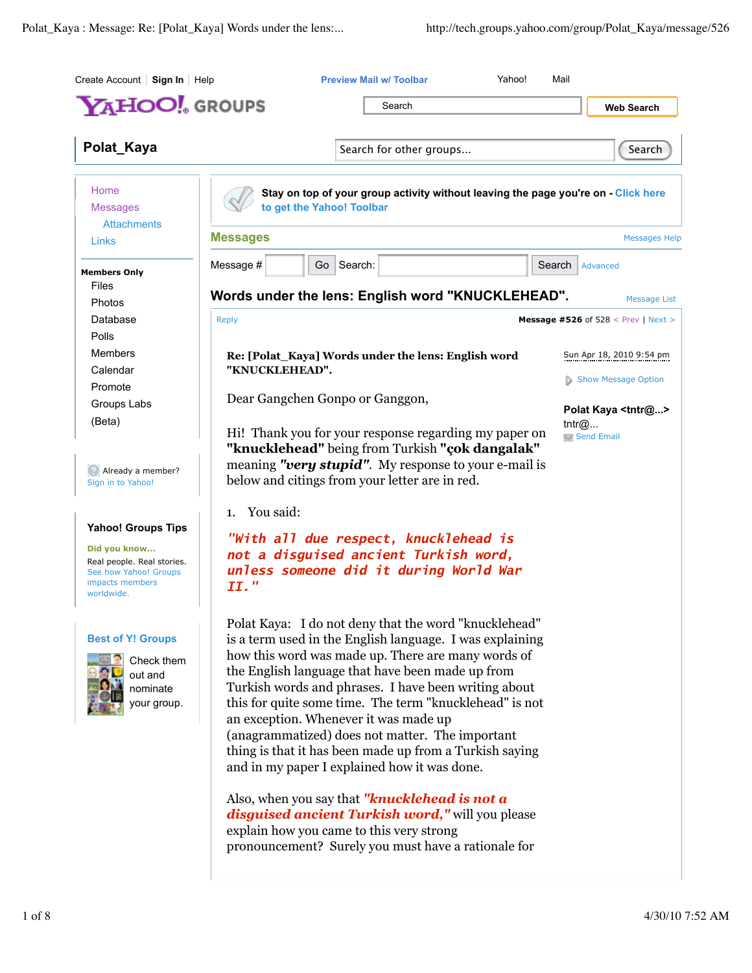| YAHOO! GROUPS                                                                                                                     |                                                     | Search                                                                                                                                                                                                                                                                                                                                                                                                                                                                                                                                                |        | <b>Web Search</b>                                   |
|-----------------------------------------------------------------------------------------------------------------------------------|-----------------------------------------------------|-------------------------------------------------------------------------------------------------------------------------------------------------------------------------------------------------------------------------------------------------------------------------------------------------------------------------------------------------------------------------------------------------------------------------------------------------------------------------------------------------------------------------------------------------------|--------|-----------------------------------------------------|
|                                                                                                                                   |                                                     |                                                                                                                                                                                                                                                                                                                                                                                                                                                                                                                                                       |        |                                                     |
| Polat_Kaya                                                                                                                        |                                                     | Search for other groups                                                                                                                                                                                                                                                                                                                                                                                                                                                                                                                               |        | Search                                              |
| Home<br><b>Messages</b><br><b>Attachments</b>                                                                                     | to get the Yahoo! Toolbar                           | Stay on top of your group activity without leaving the page you're on - Click here                                                                                                                                                                                                                                                                                                                                                                                                                                                                    |        |                                                     |
| Links                                                                                                                             | <b>Messages</b>                                     |                                                                                                                                                                                                                                                                                                                                                                                                                                                                                                                                                       |        | <b>Messages Help</b>                                |
| <b>Members Only</b><br>Files                                                                                                      | Message #                                           | Go   Search:                                                                                                                                                                                                                                                                                                                                                                                                                                                                                                                                          | Search | Advanced                                            |
| Photos                                                                                                                            |                                                     | Words under the lens: English word "KNUCKLEHEAD".                                                                                                                                                                                                                                                                                                                                                                                                                                                                                                     |        | <b>Message List</b>                                 |
| Database                                                                                                                          | <b>Reply</b>                                        |                                                                                                                                                                                                                                                                                                                                                                                                                                                                                                                                                       |        | <b>Message #526 of 528 &lt; Prev   Next &gt;</b>    |
| Polls<br><b>Members</b>                                                                                                           | Re: [Polat_Kaya] Words under the lens: English word |                                                                                                                                                                                                                                                                                                                                                                                                                                                                                                                                                       |        | Sun Apr 18, 2010 9:54 pm                            |
| Calendar                                                                                                                          | "KNUCKLEHEAD".                                      |                                                                                                                                                                                                                                                                                                                                                                                                                                                                                                                                                       |        | Show Message Option                                 |
| Promote<br>Groups Labs                                                                                                            | Dear Gangchen Gonpo or Ganggon,                     |                                                                                                                                                                                                                                                                                                                                                                                                                                                                                                                                                       |        |                                                     |
| (Beta)                                                                                                                            |                                                     | Hi! Thank you for your response regarding my paper on                                                                                                                                                                                                                                                                                                                                                                                                                                                                                                 |        | Polat Kaya <tntr@><br/>tntr@<br/>Send Email</tntr@> |
| Already a member?<br>Sign in to Yahoo!                                                                                            |                                                     | "knucklehead" being from Turkish "çok dangalak"<br>meaning "very stupid". My response to your e-mail is<br>below and citings from your letter are in red.                                                                                                                                                                                                                                                                                                                                                                                             |        |                                                     |
|                                                                                                                                   | You said:<br>1.                                     |                                                                                                                                                                                                                                                                                                                                                                                                                                                                                                                                                       |        |                                                     |
| <b>Yahoo! Groups Tips</b><br>Did you know<br>Real people. Real stories.<br>See how Yahoo! Groups<br>impacts members<br>worldwide. | II."                                                | "With all due respect, knucklehead is<br>not a disguised ancient Turkish word,<br>unless someone did it during World War                                                                                                                                                                                                                                                                                                                                                                                                                              |        |                                                     |
| <b>Best of Y! Groups</b><br>Check them<br>out and<br>nominate<br>your group.                                                      |                                                     | Polat Kaya: I do not deny that the word "knucklehead"<br>is a term used in the English language. I was explaining<br>how this word was made up. There are many words of<br>the English language that have been made up from<br>Turkish words and phrases. I have been writing about<br>this for quite some time. The term "knucklehead" is not<br>an exception. Whenever it was made up<br>(anagrammatized) does not matter. The important<br>thing is that it has been made up from a Turkish saying<br>and in my paper I explained how it was done. |        |                                                     |
|                                                                                                                                   |                                                     | Also, when you say that " <b>knucklehead is not a</b><br>disguised ancient Turkish word," will you please<br>explain how you came to this very strong<br>pronouncement? Surely you must have a rationale for                                                                                                                                                                                                                                                                                                                                          |        |                                                     |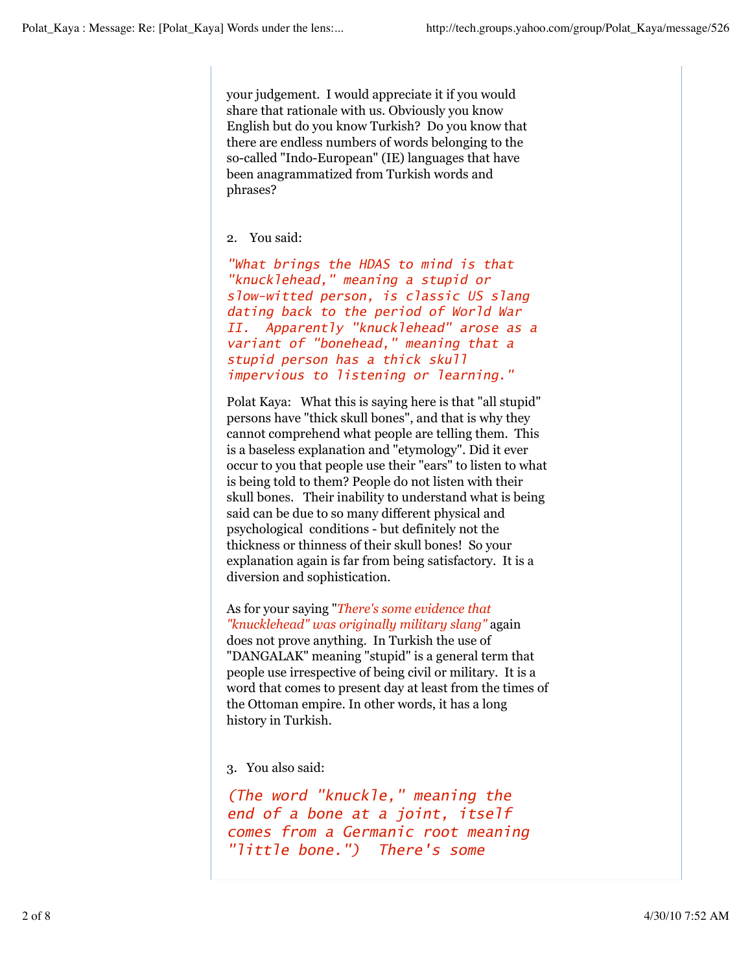your judgement. I would appreciate it if you would share that rationale with us. Obviously you know English but do you know Turkish? Do you know that there are endless numbers of words belonging to the so-called "Indo-European" (IE) languages that have been anagrammatized from Turkish words and phrases?

## 2. You said:

*"What brings the HDAS to mind is that "knucklehead," meaning a stupid or slow-witted person, is classic US slang dating back to the period of World War II. Apparently "knucklehead" arose as a variant of "bonehead," meaning that a stupid person has a thick skull impervious to listening or learning."*

Polat Kaya: What this is saying here is that "all stupid" persons have "thick skull bones", and that is why they cannot comprehend what people are telling them. This is a baseless explanation and "etymology". Did it ever occur to you that people use their "ears" to listen to what is being told to them? People do not listen with their skull bones. Their inability to understand what is being said can be due to so many different physical and psychological conditions - but definitely not the thickness or thinness of their skull bones! So your explanation again is far from being satisfactory. It is a diversion and sophistication.

As for your saying "*There's some evidence that "knucklehead" was originally military slang"* again does not prove anything. In Turkish the use of "DANGALAK" meaning "stupid" is a general term that people use irrespective of being civil or military. It is a word that comes to present day at least from the times of the Ottoman empire. In other words, it has a long history in Turkish.

3. You also said:

*(The word "knuckle," meaning the end of a bone at a joint, itself comes from a Germanic root meaning "little bone.") There's some*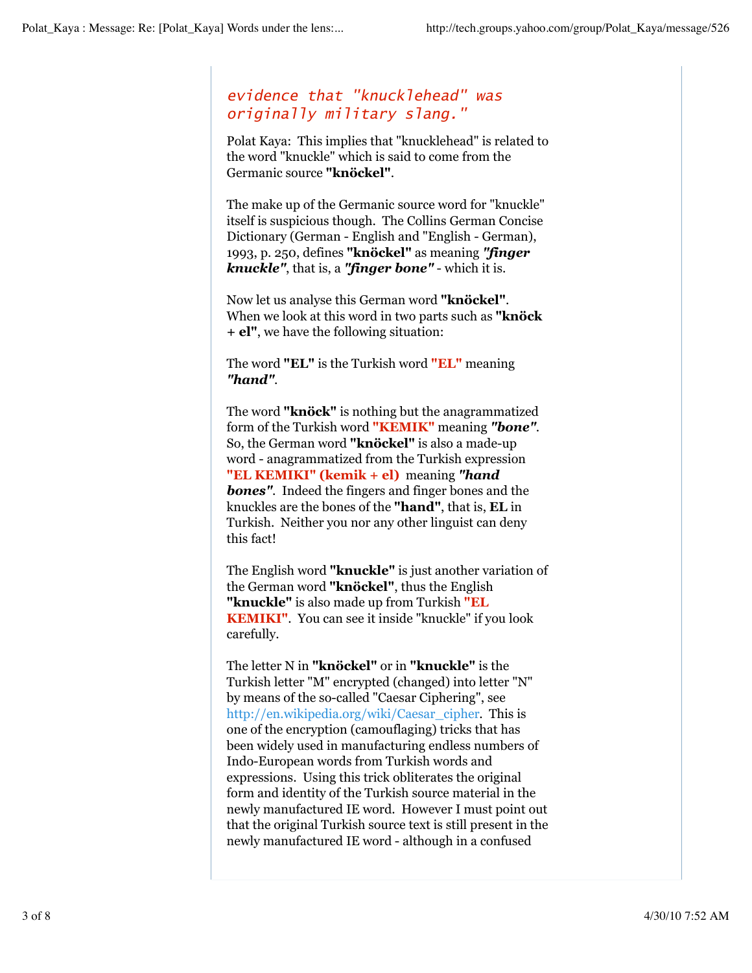## *evidence that "knucklehead" was originally military slang."*

Polat Kaya: This implies that "knucklehead" is related to the word "knuckle" which is said to come from the Germanic source **"knöckel"**.

The make up of the Germanic source word for "knuckle" itself is suspicious though. The Collins German Concise Dictionary (German - English and "English - German), 1993, p. 250, defines **"knöckel"** as meaning *"finger knuckle"*, that is, a *"finger bone"* - which it is.

Now let us analyse this German word **"knöckel"**. When we look at this word in two parts such as **"knöck + el"**, we have the following situation:

The word **"EL"** is the Turkish word **"EL"** meaning *"hand"*.

The word **"knöck"** is nothing but the anagrammatized form of the Turkish word **"KEMIK"** meaning *"bone"*. So, the German word **"knöckel"** is also a made-up word - anagrammatized from the Turkish expression **"EL KEMIKI" (kemik + el)** meaning *"hand* **bones"**. Indeed the fingers and finger bones and the knuckles are the bones of the **"hand"**, that is, **EL** in Turkish. Neither you nor any other linguist can deny this fact!

The English word **"knuckle"** is just another variation of the German word **"knöckel"**, thus the English **"knuckle"** is also made up from Turkish **"EL KEMIKI"**. You can see it inside "knuckle" if you look carefully.

The letter N in **"knöckel"** or in **"knuckle"** is the Turkish letter "M" encrypted (changed) into letter "N" by means of the so-called "Caesar Ciphering", see http://en.wikipedia.org/wiki/Caesar\_cipher. This is one of the encryption (camouflaging) tricks that has been widely used in manufacturing endless numbers of Indo-European words from Turkish words and expressions. Using this trick obliterates the original form and identity of the Turkish source material in the newly manufactured IE word. However I must point out that the original Turkish source text is still present in the newly manufactured IE word - although in a confused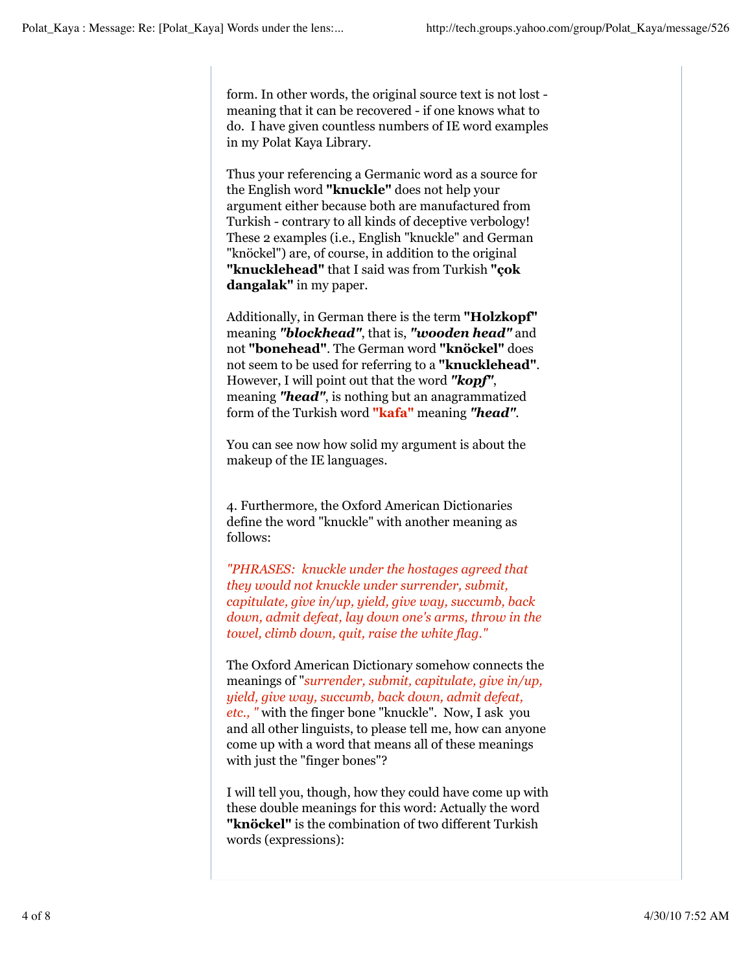form. In other words, the original source text is not lost meaning that it can be recovered - if one knows what to do. I have given countless numbers of IE word examples in my Polat Kaya Library.

Thus your referencing a Germanic word as a source for the English word **"knuckle"** does not help your argument either because both are manufactured from Turkish - contrary to all kinds of deceptive verbology! These 2 examples (i.e., English "knuckle" and German "knöckel") are, of course, in addition to the original **"knucklehead"** that I said was from Turkish **"çok dangalak"** in my paper.

Additionally, in German there is the term **"Holzkopf"** meaning *"blockhead"*, that is, *"wooden head"* and not **"bonehead"**. The German word **"knöckel"** does not seem to be used for referring to a **"knucklehead"**. However, I will point out that the word *"kopf"*, meaning *"head"*, is nothing but an anagrammatized form of the Turkish word **"kafa"** meaning *"head"*.

You can see now how solid my argument is about the makeup of the IE languages.

4. Furthermore, the Oxford American Dictionaries define the word "knuckle" with another meaning as follows:

*"PHRASES: knuckle under the hostages agreed that they would not knuckle under surrender, submit, capitulate, give in/up, yield, give way, succumb, back down, admit defeat, lay down one's arms, throw in the towel, climb down, quit, raise the white flag."*

The Oxford American Dictionary somehow connects the meanings of "*surrender, submit, capitulate, give in/up, yield, give way, succumb, back down, admit defeat, etc., "* with the finger bone "knuckle". Now, I ask you and all other linguists, to please tell me, how can anyone come up with a word that means all of these meanings with just the "finger bones"?

I will tell you, though, how they could have come up with these double meanings for this word: Actually the word **"knöckel"** is the combination of two different Turkish words (expressions):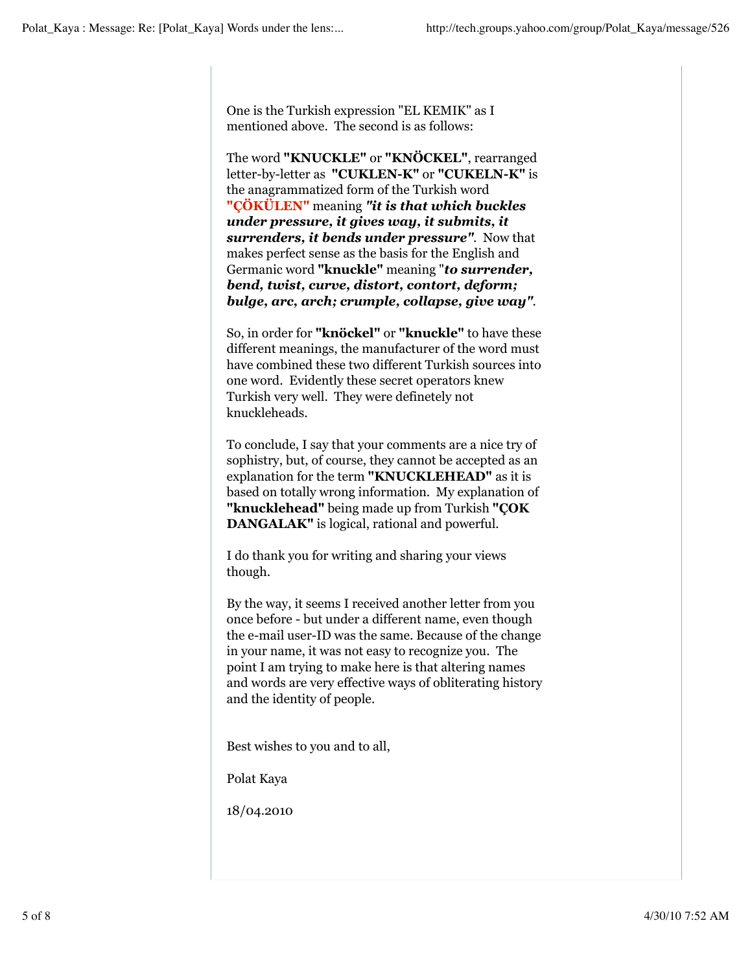One is the Turkish expression "EL KEMIK" as I mentioned above. The second is as follows:

The word **"KNUCKLE"** or **"KNÖCKEL"**, rearranged letter-by-letter as **"CUKLEN-K"** or **"CUKELN-K"** is the anagrammatized form of the Turkish word **"ÇÖKÜLEN"** meaning *"it is that which buckles under pressure, it gives way, it submits, it surrenders, it bends under pressure"*. Now that makes perfect sense as the basis for the English and Germanic word **"knuckle"** meaning "*to surrender, bend, twist, curve, distort, contort, deform; bulge, arc, arch; crumple, collapse, give way"*.

So, in order for **"knöckel"** or **"knuckle"** to have these different meanings, the manufacturer of the word must have combined these two different Turkish sources into one word. Evidently these secret operators knew Turkish very well. They were definetely not knuckleheads.

To conclude, I say that your comments are a nice try of sophistry, but, of course, they cannot be accepted as an explanation for the term **"KNUCKLEHEAD"** as it is based on totally wrong information. My explanation of **"knucklehead"** being made up from Turkish **"ÇOK DANGALAK"** is logical, rational and powerful.

I do thank you for writing and sharing your views though.

By the way, it seems I received another letter from you once before - but under a different name, even though the e-mail user-ID was the same. Because of the change in your name, it was not easy to recognize you. The point I am trying to make here is that altering names and words are very effective ways of obliterating history and the identity of people.

Best wishes to you and to all,

Polat Kaya

18/04.2010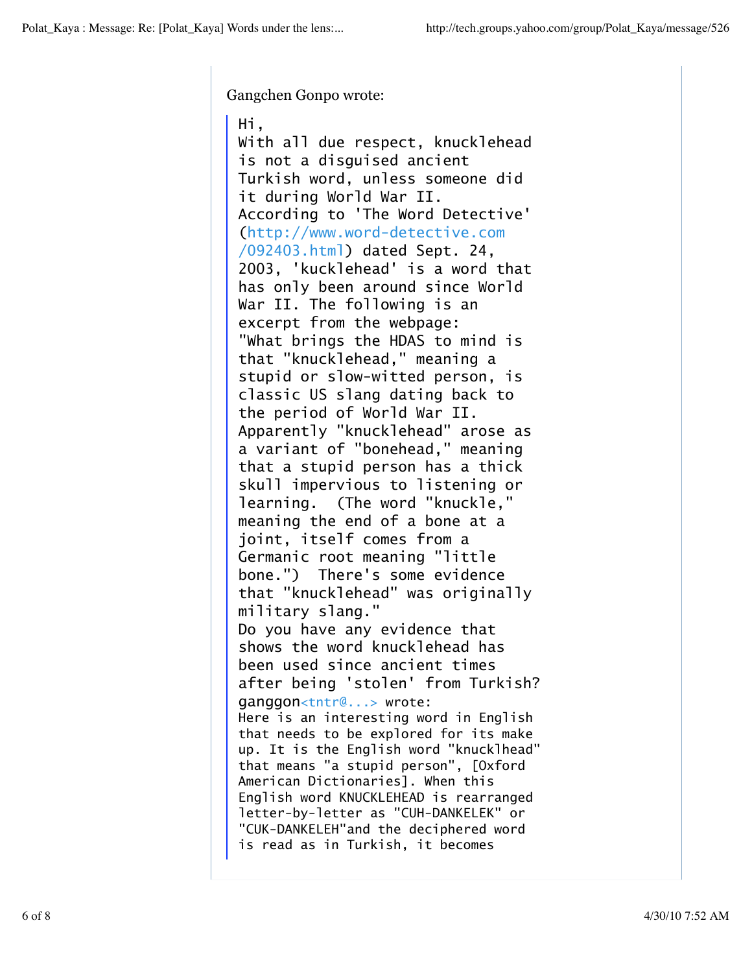Gangchen Gonpo wrote:

Hi, With all due respect, knucklehead is not a disguised ancient Turkish word, unless someone did it during World War II. According to 'The Word Detective' (http://www.word-detective.com /092403.html) dated Sept. 24, 2003, 'kucklehead' is a word that has only been around since World War II. The following is an excerpt from the webpage: "What brings the HDAS to mind is that "knucklehead," meaning a stupid or slow-witted person, is classic US slang dating back to the period of World War II. Apparently "knucklehead" arose as a variant of "bonehead," meaning that a stupid person has a thick skull impervious to listening or learning. (The word "knuckle," meaning the end of a bone at a joint, itself comes from a Germanic root meaning "little bone.") There's some evidence that "knucklehead" was originally military slang." Do you have any evidence that shows the word knucklehead has been used since ancient times after being 'stolen' from Turkish? ganggon<tntr@...> wrote: Here is an interesting word in English that needs to be explored for its make up. It is the English word "knucklhead" that means "a stupid person", [Oxford American Dictionaries]. When this English word KNUCKLEHEAD is rearranged letter-by-letter as "CUH-DANKELEK" or "CUK-DANKELEH"and the deciphered word is read as in Turkish, it becomes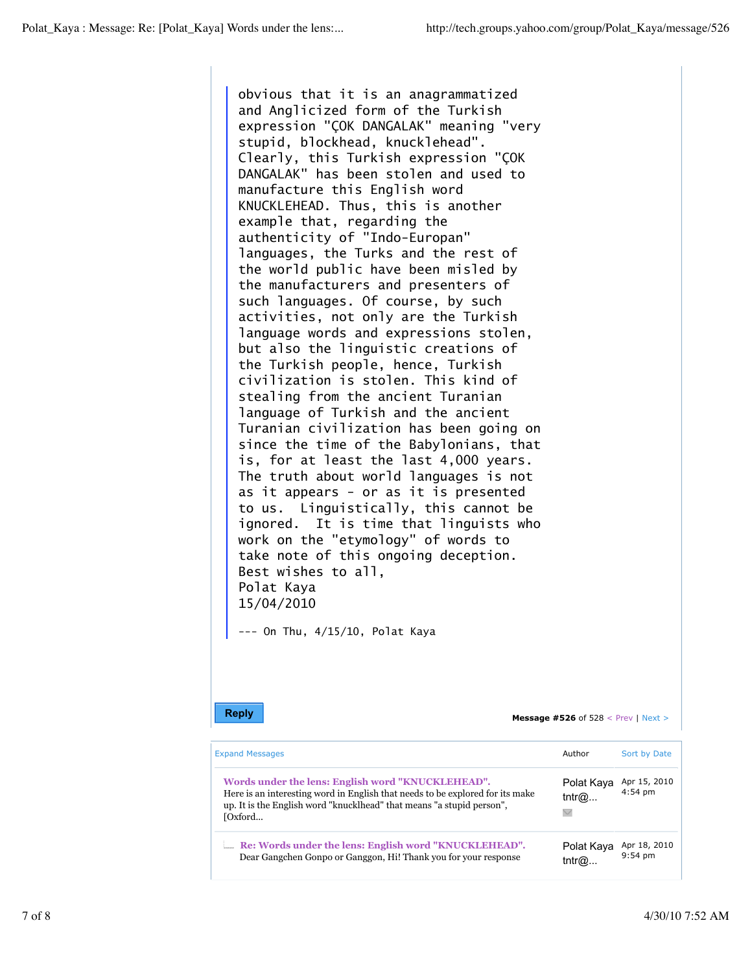obvious that it is an anagrammatized and Anglicized form of the Turkish expression "ÇOK DANGALAK" meaning "very stupid, blockhead, knucklehead". Clearly, this Turkish expression "ÇOK DANGALAK" has been stolen and used to manufacture this English word KNUCKLEHEAD. Thus, this is another example that, regarding the authenticity of "Indo-Europan" languages, the Turks and the rest of the world public have been misled by the manufacturers and presenters of such languages. Of course, by such activities, not only are the Turkish language words and expressions stolen, but also the linguistic creations of the Turkish people, hence, Turkish civilization is stolen. This kind of stealing from the ancient Turanian language of Turkish and the ancient Turanian civilization has been going on since the time of the Babylonians, that is, for at least the last 4,000 years. The truth about world languages is not as it appears - or as it is presented to us. Linguistically, this cannot be ignored. It is time that linguists who work on the "etymology" of words to take note of this ongoing deception. Best wishes to all, Polat Kaya 15/04/2010

--- On Thu, 4/15/10, Polat Kaya

**Reply Message #526** of 528 < Prev | Next >

| <b>Expand Messages</b>                                                                                                                                                                                                  | Author                              | Sort by Date              |  |
|-------------------------------------------------------------------------------------------------------------------------------------------------------------------------------------------------------------------------|-------------------------------------|---------------------------|--|
| Words under the lens: English word "KNUCKLEHEAD".<br>Here is an interesting word in English that needs to be explored for its make<br>up. It is the English word "knucklhead" that means "a stupid person",<br>[Oxford] | Polat Kaya<br>tntr@<br>$\checkmark$ | Apr 15, 2010<br>$4:54$ pm |  |
| <b>EXECUTE: Executed EXECUTE:</b> Re: Words under the lens: English word "KNUCKLEHEAD".<br>Dear Gangchen Gonpo or Ganggon, Hi! Thank you for your response                                                              | Polat Kaya<br>tntr $@$              | Apr 18, 2010<br>$9:54$ pm |  |